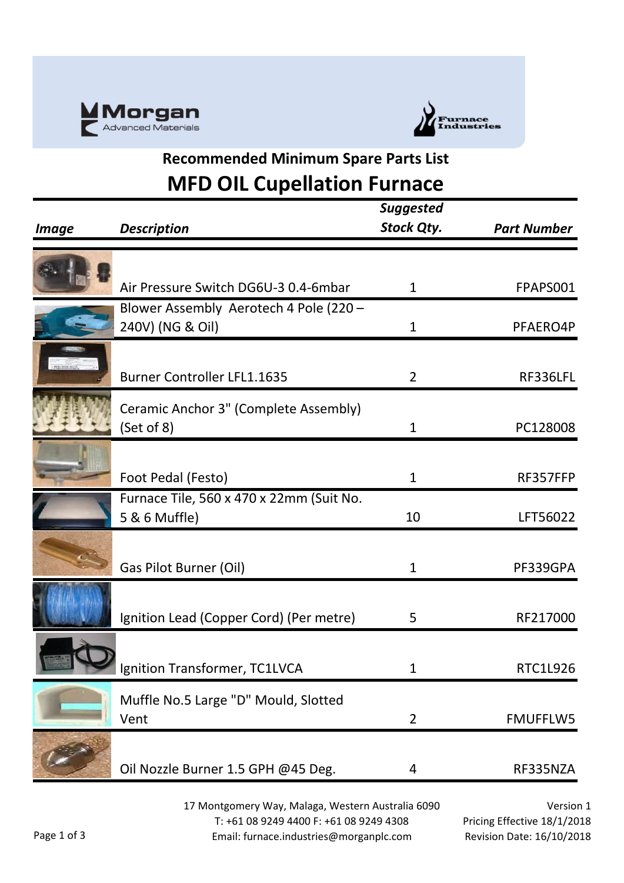



## **Recommended Minimum Spare Parts List MFD OIL Cupellation Furnace**

|              |                                                            | <b>Suggested</b>  |                    |
|--------------|------------------------------------------------------------|-------------------|--------------------|
| <b>Image</b> | <b>Description</b>                                         | <b>Stock Qty.</b> | <b>Part Number</b> |
|              |                                                            |                   |                    |
|              | Air Pressure Switch DG6U-3 0.4-6mbar                       | 1                 | FPAPS001           |
|              | Blower Assembly Aerotech 4 Pole (220 -<br>240V) (NG & Oil) | $\mathbf{1}$      | PFAERO4P           |
|              | <b>Burner Controller LFL1.1635</b>                         | $\overline{2}$    | RF336LFL           |
|              | Ceramic Anchor 3" (Complete Assembly)<br>(Set of 8)        | $\mathbf{1}$      | PC128008           |
|              | Foot Pedal (Festo)                                         | $\mathbf{1}$      | RF357FFP           |
|              | Furnace Tile, 560 x 470 x 22mm (Suit No.<br>5 & 6 Muffle)  | 10                | LFT56022           |
|              | Gas Pilot Burner (Oil)                                     | 1                 | PF339GPA           |
|              | Ignition Lead (Copper Cord) (Per metre)                    | 5                 | RF217000           |
|              | Ignition Transformer, TC1LVCA                              | 1                 | RTC1L926           |
|              | Muffle No.5 Large "D" Mould, Slotted<br>Vent               | $\overline{2}$    | <b>FMUFFLW5</b>    |
|              | Oil Nozzle Burner 1.5 GPH @45 Deg.                         | 4                 | RF335NZA           |
|              |                                                            |                   |                    |

17 Montgomery Way, Malaga, Western Australia 6090 T: +61 08 9249 4400 F: +61 08 9249 4308 Email: furnace.industries@morganplc.com

Version 1 Pricing Effective 18/1/2018 Revision Date: 16/10/2018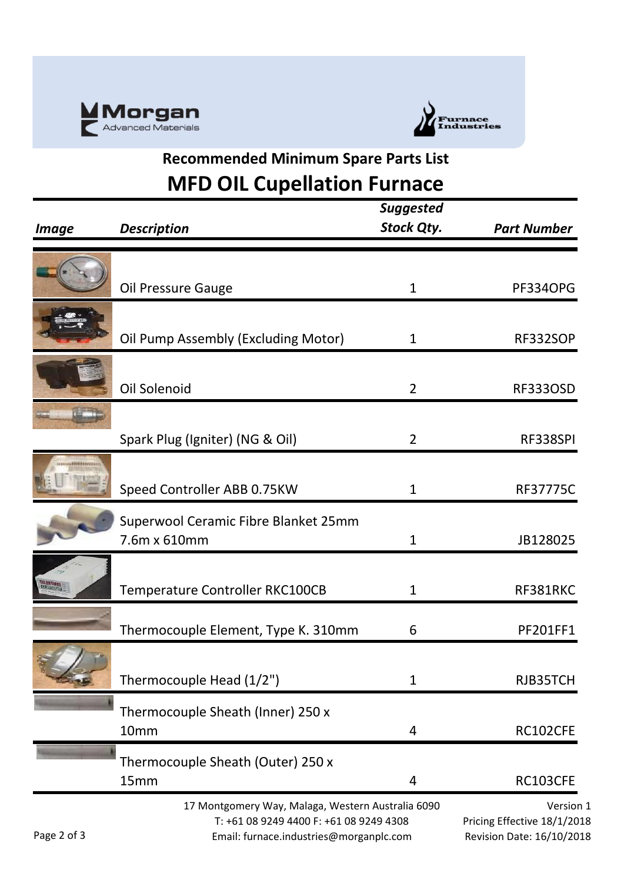



## **Recommended Minimum Spare Parts List MFD OIL Cupellation Furnace**

| <i><b>Image</b></i> | <b>Description</b>                                                                                                                      | <b>Suggested</b><br><b>Stock Qty.</b> | <b>Part Number</b>                                                    |
|---------------------|-----------------------------------------------------------------------------------------------------------------------------------------|---------------------------------------|-----------------------------------------------------------------------|
|                     | <b>Oil Pressure Gauge</b>                                                                                                               | 1                                     | PF334OPG                                                              |
|                     | Oil Pump Assembly (Excluding Motor)                                                                                                     | 1                                     | <b>RF332SOP</b>                                                       |
|                     | Oil Solenoid                                                                                                                            | $\overline{2}$                        | <b>RF333OSD</b>                                                       |
|                     | Spark Plug (Igniter) (NG & Oil)                                                                                                         | $\overline{2}$                        | RF338SPI                                                              |
| <b>ATTENTIONS</b>   | Speed Controller ABB 0.75KW                                                                                                             | 1                                     | <b>RF37775C</b>                                                       |
|                     | Superwool Ceramic Fibre Blanket 25mm<br>7.6m x 610mm                                                                                    | 1                                     | JB128025                                                              |
|                     | Temperature Controller RKC100CB                                                                                                         | 1                                     | RF381RKC                                                              |
|                     | Thermocouple Element, Type K. 310mm                                                                                                     | 6                                     | <b>PF201FF1</b>                                                       |
|                     | Thermocouple Head (1/2")                                                                                                                | 1                                     | RJB35TCH                                                              |
|                     | Thermocouple Sheath (Inner) 250 x<br>10mm                                                                                               | 4                                     | RC102CFE                                                              |
|                     | Thermocouple Sheath (Outer) 250 x<br>15mm                                                                                               | 4                                     | RC103CFE                                                              |
| Page 2 of 3         | 17 Montgomery Way, Malaga, Western Australia 6090<br>T: +61 08 9249 4400 F: +61 08 9249 4308<br>Email: furnace.industries@morganplc.com |                                       | Version 1<br>Pricing Effective 18/1/2018<br>Revision Date: 16/10/2018 |